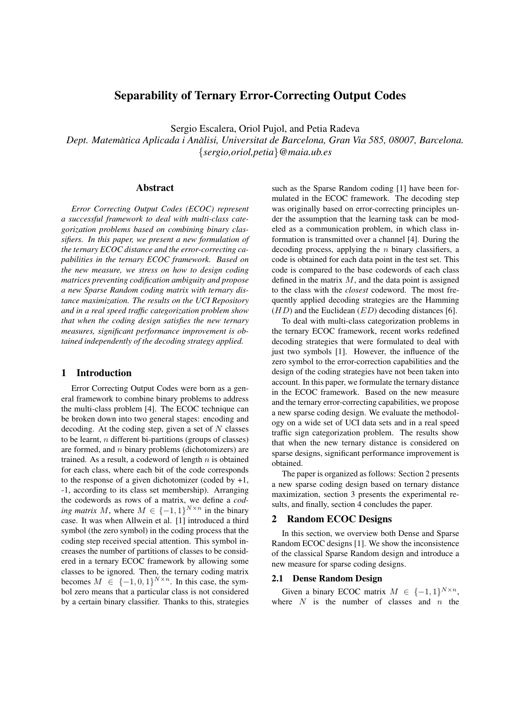# Separability of Ternary Error-Correcting Output Codes

Sergio Escalera, Oriol Pujol, and Petia Radeva

*Dept. Matematica Aplicada i An ` alisi, Universitat de Barcelona, Gran Via 585, 08007, Barcelona. `* {*sergio,oriol,petia*}*@maia.ub.es*

### Abstract

*Error Correcting Output Codes (ECOC) represent a successful framework to deal with multi-class categorization problems based on combining binary classifiers. In this paper, we present a new formulation of the ternary ECOC distance and the error-correcting capabilities in the ternary ECOC framework. Based on the new measure, we stress on how to design coding matrices preventing codification ambiguity and propose a new Sparse Random coding matrix with ternary distance maximization. The results on the UCI Repository and in a real speed traffic categorization problem show that when the coding design satisfies the new ternary measures, significant performance improvement is obtained independently of the decoding strategy applied.*

## 1 Introduction

Error Correcting Output Codes were born as a general framework to combine binary problems to address the multi-class problem [4]. The ECOC technique can be broken down into two general stages: encoding and decoding. At the coding step, given a set of  $N$  classes to be learnt,  $n$  different bi-partitions (groups of classes) are formed, and  $n$  binary problems (dichotomizers) are trained. As a result, a codeword of length  $n$  is obtained for each class, where each bit of the code corresponds to the response of a given dichotomizer (coded by  $+1$ , -1, according to its class set membership). Arranging the codewords as rows of a matrix, we define a *coding matrix* M, where  $M \in \{-1,1\}^{N \times n}$  in the binary case. It was when Allwein et al. [1] introduced a third symbol (the zero symbol) in the coding process that the coding step received special attention. This symbol increases the number of partitions of classes to be considered in a ternary ECOC framework by allowing some classes to be ignored. Then, the ternary coding matrix becomes  $M \in \{-1, 0, 1\}^{N \times n}$ . In this case, the symbol zero means that a particular class is not considered by a certain binary classifier. Thanks to this, strategies such as the Sparse Random coding [1] have been formulated in the ECOC framework. The decoding step was originally based on error-correcting principles under the assumption that the learning task can be modeled as a communication problem, in which class information is transmitted over a channel [4]. During the decoding process, applying the  $n$  binary classifiers, a code is obtained for each data point in the test set. This code is compared to the base codewords of each class defined in the matrix  $M$ , and the data point is assigned to the class with the *closest* codeword. The most frequently applied decoding strategies are the Hamming  $(HD)$  and the Euclidean  $(ED)$  decoding distances [6].

To deal with multi-class categorization problems in the ternary ECOC framework, recent works redefined decoding strategies that were formulated to deal with just two symbols [1]. However, the influence of the zero symbol to the error-correction capabilities and the design of the coding strategies have not been taken into account. In this paper, we formulate the ternary distance in the ECOC framework. Based on the new measure and the ternary error-correcting capabilities, we propose a new sparse coding design. We evaluate the methodology on a wide set of UCI data sets and in a real speed traffic sign categorization problem. The results show that when the new ternary distance is considered on sparse designs, significant performance improvement is obtained.

The paper is organized as follows: Section 2 presents a new sparse coding design based on ternary distance maximization, section 3 presents the experimental results, and finally, section 4 concludes the paper.

### 2 Random ECOC Designs

In this section, we overview both Dense and Sparse Random ECOC designs [1]. We show the inconsistence of the classical Sparse Random design and introduce a new measure for sparse coding designs.

### 2.1 Dense Random Design

Given a binary ECOC matrix  $M \in \{-1, 1\}^{N \times n}$ , where  $N$  is the number of classes and  $n$  the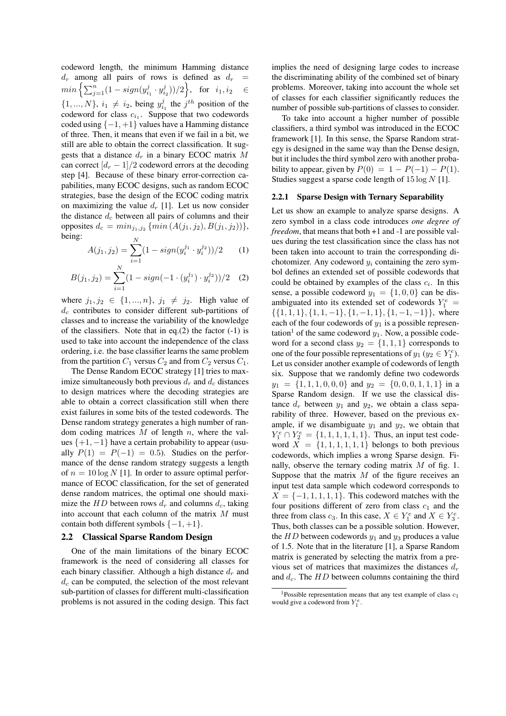codeword length, the minimum Hamming distance  $d_r$  among all pairs of rows is defined as  $d_r$  =  $min\left\{\sum_{j=1}^{n}(1-sign(y_{i_1}^j \cdot y_{i_2}^j))/2\right\}, \text{ for } i_1, i_2 \in$  $\{1, ..., N\}, i_1 \neq i_2$ , being  $y_{i_1}^j$  the j<sup>th</sup> position of the codeword for class c. Suppose that two codewords codeword for class  $c_{i_1}$ . Suppose that two codewords coded using  $\{-1, +1\}$  values have a Hamming distance of three. Then, it means that even if we fail in a bit, we still are able to obtain the correct classification. It suggests that a distance  $d_r$  in a binary ECOC matrix M can correct  $\left[d_r-1\right]/2$  codeword errors at the decoding step [4]. Because of these binary error-correction capabilities, many ECOC designs, such as random ECOC strategies, base the design of the ECOC coding matrix on maximizing the value  $d_r$  [1]. Let us now consider the distance  $d_c$  between all pairs of columns and their opposites  $d_c = min_{j_1, j_2} \{min(A(j_1, j_2), B(j_1, j_2))\},\$ being:

$$
A(j_1, j_2) = \sum_{i=1}^{N} (1 - sign(y_i^{j_1} \cdot y_i^{j_2})) / 2 \qquad (1)
$$

$$
B(j_1, j_2) = \sum_{i=1}^{N} (1 - sign(-1 \cdot (y_i^{j_1}) \cdot y_i^{j_2})) / 2 \quad (2)
$$

where  $j_1, j_2 \in \{1, ..., n\}, j_1 \neq j_2$ . High value of  $d_c$  contributes to consider different sub-partitions of classes and to increase the variability of the knowledge of the classifiers. Note that in eq.(2) the factor  $(-1)$  is used to take into account the independence of the class ordering, i.e. the base classifier learns the same problem from the partition  $C_1$  versus  $C_2$  and from  $C_2$  versus  $C_1$ .

The Dense Random ECOC strategy [1] tries to maximize simultaneously both previous  $d_r$  and  $d_c$  distances to design matrices where the decoding strategies are able to obtain a correct classification still when there exist failures in some bits of the tested codewords. The Dense random strategy generates a high number of random coding matrices  $M$  of length  $n$ , where the values  $\{+1, -1\}$  have a certain probability to appear (usually  $P(1) = P(-1) = 0.5$ . Studies on the performance of the dense random strategy suggests a length of  $n = 10 \log N$  [1]. In order to assure optimal performance of ECOC classification, for the set of generated dense random matrices, the optimal one should maximize the HD between rows  $d_r$  and columns  $d_c$ , taking into account that each column of the matrix M must contain both different symbols  $\{-1, +1\}$ .<br>2.2 Classical Sparse Random Desi

### **Classical Sparse Random Design**

One of the main limitations of the binary ECOC framework is the need of considering all classes for each binary classifier. Although a high distance  $d_r$  and  $d_c$  can be computed, the selection of the most relevant sub-partition of classes for different multi-classification problems is not assured in the coding design. This fact implies the need of designing large codes to increase the discriminating ability of the combined set of binary problems. Moreover, taking into account the whole set of classes for each classifier significantly reduces the number of possible sub-partitions of classes to consider.

To take into account a higher number of possible classifiers, a third symbol was introduced in the ECOC framework [1]. In this sense, the Sparse Random strategy is designed in the same way than the Dense design, but it includes the third symbol zero with another probability to appear, given by  $P(0) = 1 - P(-1) - P(1)$ . Studies suggest a sparse code length of  $15 \log N$  [1].

#### 2.2.1 Sparse Design with Ternary Separability

Let us show an example to analyze sparse designs. A zero symbol in a class code introduces *one degree of freedom*, that means that both +1 and -1 are possible values during the test classification since the class has not been taken into account to train the corresponding dichotomizer. Any codeword  $y_i$  containing the zero symbol defines an extended set of possible codewords that could be obtained by examples of the class  $c_i$ . In this sense, a possible codeword  $y_1 = \{1, 0, 0\}$  can be disambiguated into its extended set of codewords  $Y_1^e$  = amorguated mio its extended set of codewords  $r_1 = {\{1, 1, 1\}, \{1, -1\}, \{1, -1, 1\}, \{1, -1, -1\}}\}$ , where each of the four codewords of  $y_1$  is a possible representation<sup>1</sup> of the same codeword  $y_1$ . Now, a possible codeword for a second class  $y_2 = \{1, 1, 1\}$  corresponds to one of the four possible representations of  $y_1$  ( $y_2 \in Y_1^e$ ). Let us consider another example of codewords of length six. Suppose that we randomly define two codewords  $y_1 = \{1, 1, 1, 0, 0, 0\}$  and  $y_2 = \{0, 0, 0, 1, 1, 1\}$  in a Sparse Random design. If we use the classical distance  $d_r$  between  $y_1$  and  $y_2$ , we obtain a class separability of three. However, based on the previous example, if we disambiguate  $y_1$  and  $y_2$ , we obtain that  $Y_1^e \cap Y_2^e = \{1, 1, 1, 1, 1, 1\}$ . Thus, an input test code-<br>word  $X = \{1, 1, 1, 1, 1\}$  belongs to both previous word  $X = \{1, 1, 1, 1, 1, 1\}$  belongs to both previous codewords, which implies a wrong Sparse design. Finally, observe the ternary coding matrix  $M$  of fig. 1. Suppose that the matrix  $M$  of the figure receives an input test data sample which codeword corresponds to  $X = \{-1, 1, 1, 1, 1\}$ . This codeword matches with the four positions different of zero from class  $c_1$  and the three from class  $c_3$ . In this case,  $X \in Y_1^e$  and  $X \in Y_3^e$ . Thus, both classes can be a possible solution. However, the  $HD$  between codewords  $y_1$  and  $y_3$  produces a value of 1.5. Note that in the literature [1], a Sparse Random matrix is generated by selecting the matrix from a previous set of matrices that maximizes the distances  $d_r$ and  $d_c$ . The HD between columns containing the third

<sup>&</sup>lt;sup>1</sup>Possible representation means that any test example of class  $c_1$ would give a codeword from  $Y_1^e$ .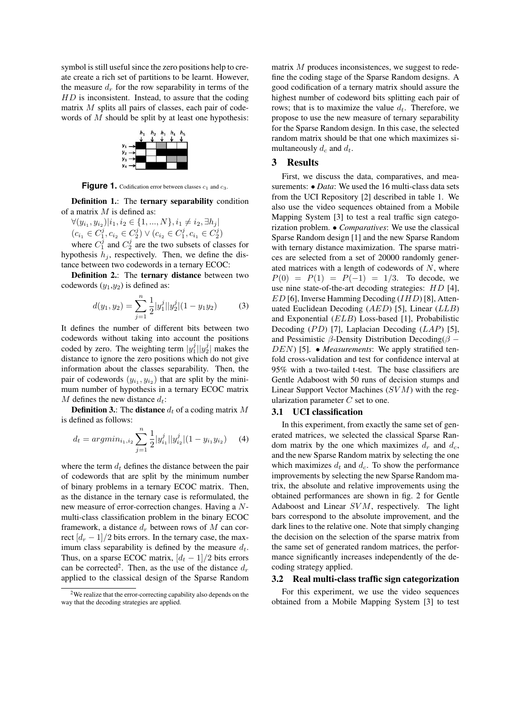symbol is still useful since the zero positions help to create create a rich set of partitions to be learnt. However, the measure  $d_r$  for the row separability in terms of the  $HD$  is inconsistent. Instead, to assure that the coding matrix  $M$  splits all pairs of classes, each pair of codewords of M should be split by at least one hypothesis:



**Figure 1.** Codification error between classes  $c_1$  and  $c_3$ .

Definition 1.: The ternary separability condition of a matrix  $M$  is defined as:

 $\forall (y_{i_1}, y_{i_2})|i_1, i_2 \in \{1, ..., N\}, i_1 \neq i_2, \exists h_j |$  $(c_{i_1} \in C_1^j, c_{i_2} \in C_2^j) \vee (c_{i_2} \in C_1^j, c_{i_1} \in C_2^j)$ <br>where  $C_2^j$  and  $C_2^j$  are the two subsets of cla

where  $C_1^j$  and  $C_2^j$  are the two subsets of classes for hypothesis  $h_i$ , respectively. Then, we define the distance between two codewords in a ternary ECOC:

Definition 2.: The ternary distance between two codewords  $(y_1,y_2)$  is defined as:

$$
d(y_1, y_2) = \sum_{j=1}^{n} \frac{1}{2} |y_1^j| |y_2^j| (1 - y_1 y_2)
$$
 (3)

It defines the number of different bits between two codewords without taking into account the positions coded by zero. The weighting term  $|y_1^j||y_2^j|$  makes the distance to ignore the zero positions which do not give information about the classes separability. Then, the pair of codewords  $(y_{i_1}, y_{i_2})$  that are split by the minimum number of hypothesis in a ternary ECOC matrix M defines the new distance  $d_t$ :

**Definition 3.:** The **distance**  $d_t$  of a coding matrix M is defined as follows:

$$
d_t = argmin_{i_1, i_2} \sum_{j=1}^n \frac{1}{2} |y_{i_1}^j| |y_{i_2}^j| (1 - y_{i_1} y_{i_2}) \quad (4)
$$

where the term  $d_t$  defines the distance between the pair of codewords that are split by the minimum number of binary problems in a ternary ECOC matrix. Then, as the distance in the ternary case is reformulated, the new measure of error-correction changes. Having a Nmulti-class classification problem in the binary ECOC framework, a distance  $d_r$  between rows of M can correct  $\left\lfloor d_r - 1 \right\rfloor/2$  bits errors. In the ternary case, the maximum class separability is defined by the measure  $d_t$ . Thus, on a sparse ECOC matrix,  $\left[d_t - 1\right]$  bits errors can be corrected<sup>2</sup>. Then, as the use of the distance  $d_r$ applied to the classical design of the Sparse Random matrix M produces inconsistences, we suggest to redefine the coding stage of the Sparse Random designs. A good codification of a ternary matrix should assure the highest number of codeword bits splitting each pair of rows; that is to maximize the value  $d_t$ . Therefore, we propose to use the new measure of ternary separability for the Sparse Random design. In this case, the selected random matrix should be that one which maximizes simultaneously  $d_c$  and  $d_t$ .

## 3 Results

First, we discuss the data, comparatives, and measurements: • *Data*: We used the 16 multi-class data sets from the UCI Repository [2] described in table 1. We also use the video sequences obtained from a Mobile Mapping System [3] to test a real traffic sign categorization problem. • *Comparatives*: We use the classical Sparse Random design [1] and the new Sparse Random with ternary distance maximization. The sparse matrices are selected from a set of 20000 randomly generated matrices with a length of codewords of  $N$ , where  $P(0) = P(1) = P(-1) = 1/3$ . To decode, we use nine state-of-the-art decoding strategies: HD [4],  $ED$  [6], Inverse Hamming Decoding ( $IHD$ ) [8], Attenuated Euclidean Decoding  $(AED)$  [5], Linear  $(LLB)$ and Exponential (ELB) Loss-based [1], Probabilistic Decoding  $(PD)$  [7], Laplacian Decoding  $(LAP)$  [5], and Pessimistic  $\beta$ -Density Distribution Decoding( $\beta$  – DEN) [5]. • *Measurements*: We apply stratified tenfold cross-validation and test for confidence interval at 95% with a two-tailed t-test. The base classifiers are Gentle Adaboost with 50 runs of decision stumps and Linear Support Vector Machines  $(SVM)$  with the regularization parameter  $C$  set to one.

### 3.1 UCI classification

In this experiment, from exactly the same set of generated matrices, we selected the classical Sparse Random matrix by the one which maximizes  $d_r$  and  $d_c$ , and the new Sparse Random matrix by selecting the one which maximizes  $d_t$  and  $d_c$ . To show the performance improvements by selecting the new Sparse Random matrix, the absolute and relative improvements using the obtained performances are shown in fig. 2 for Gentle Adaboost and Linear  $SVM$ , respectively. The light bars correspond to the absolute improvement, and the dark lines to the relative one. Note that simply changing the decision on the selection of the sparse matrix from the same set of generated random matrices, the performance significantly increases independently of the decoding strategy applied.

### 3.2 Real multi-class traffic sign categorization

For this experiment, we use the video sequences obtained from a Mobile Mapping System [3] to test

<sup>2</sup>We realize that the error-correcting capability also depends on the way that the decoding strategies are applied.